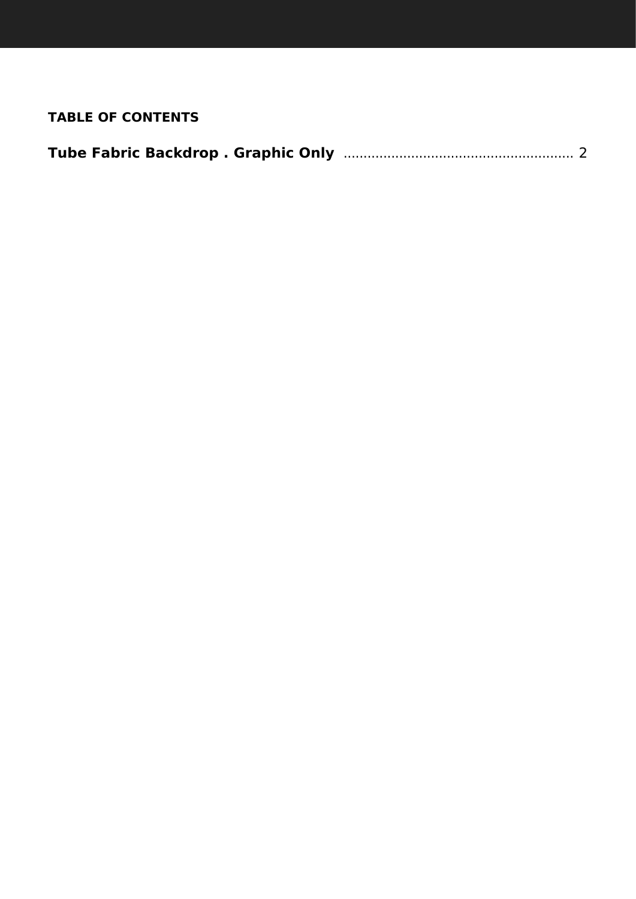## **TABLE OF CONTENTS**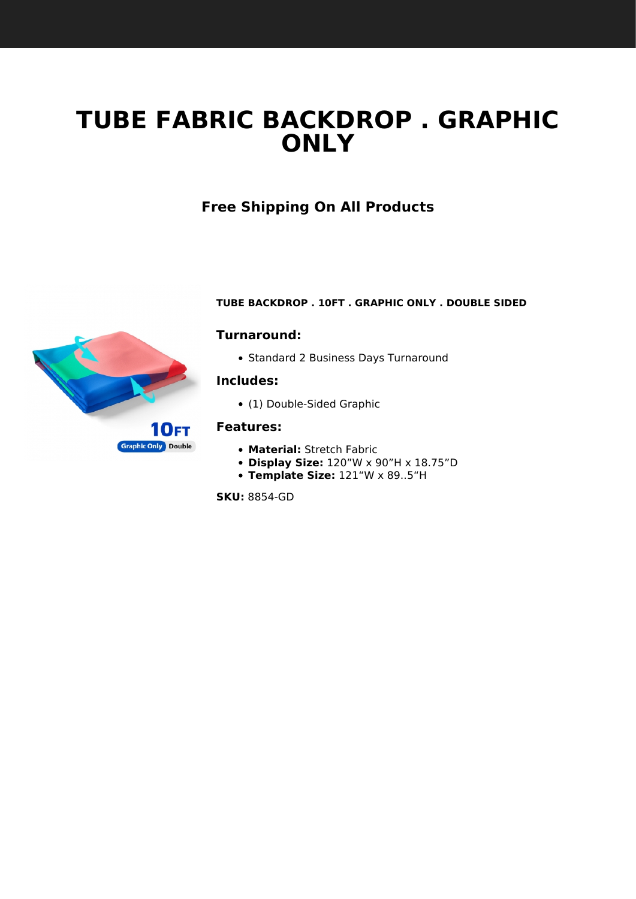# <span id="page-1-1"></span><span id="page-1-0"></span>**TUBE FABRIC BACKDROP . GRAPHIC ONLY**

# **Free Shipping On All Products**



#### **TUBE BACKDROP . 10FT . GRAPHIC ONLY . DOUBLE SIDED**

#### **Turnaround:**

• Standard 2 Business Days Turnaround

#### **Includes:**

(1) Double-Sided Graphic

#### **Features:**

- **Material:** Stretch Fabric
- **Display Size:** 120"W x 90"H x 18.75"D
- **Template Size:** 121"W x 89..5"H

**SKU:** 8854-GD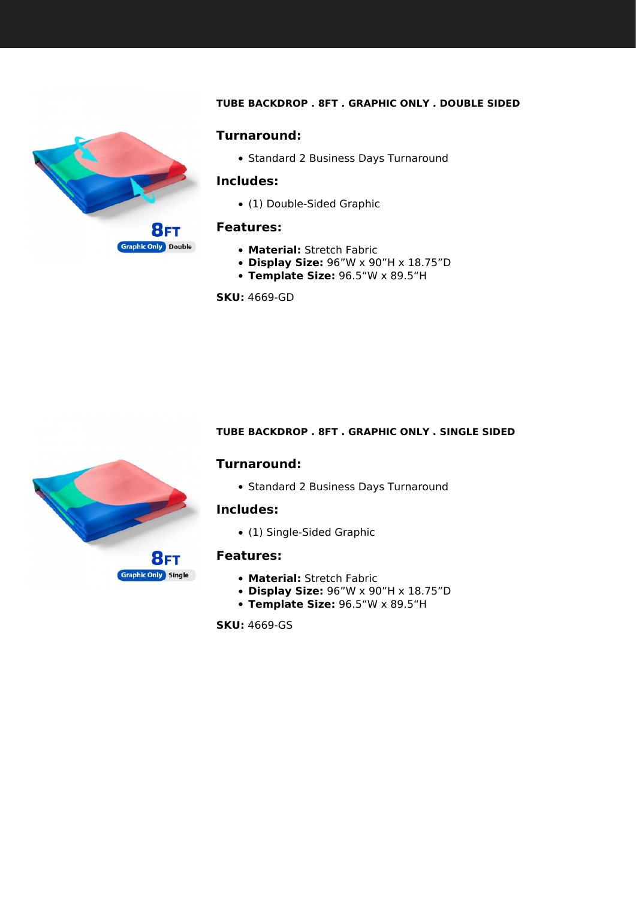#### **TUBE BACKDROP . 8FT . GRAPHIC ONLY . DOUBLE SIDED**

<span id="page-2-0"></span>

#### **Turnaround:**

• Standard 2 Business Days Turnaround

#### **Includes:**

(1) Double-Sided Graphic

#### **Features:**

- **Material:** Stretch Fabric
- **Display Size:** 96"W x 90"H x 18.75"D
- **Template Size:** 96.5"W x 89.5"H

**SKU:** 4669-GD

#### **TUBE BACKDROP . 8FT . GRAPHIC ONLY . SINGLE SIDED**

#### **Turnaround:**

• Standard 2 Business Days Turnaround

#### **Includes:**

(1) Single-Sided Graphic

#### **Features:**

- **Material:** Stretch Fabric
- **Display Size:** 96"W x 90"H x 18.75"D
- **Template Size:** 96.5"W x 89.5"H

**SKU:** 4669-GS

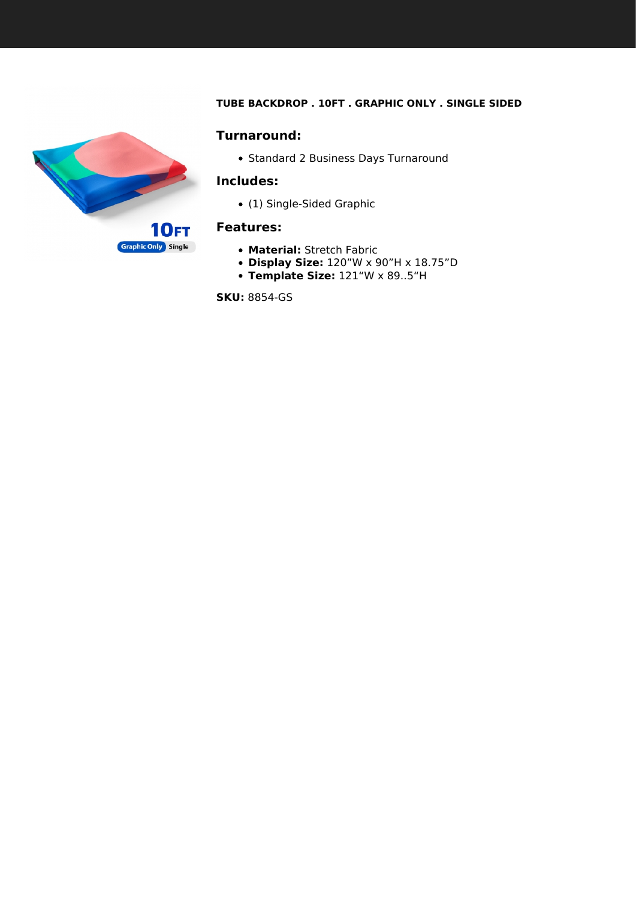#### **TUBE BACKDROP . 10FT . GRAPHIC ONLY . SINGLE SIDED**



• Standard 2 Business Days Turnaround

#### **Includes:**

(1) Single-Sided Graphic

#### **Features:**

- **Material:** Stretch Fabric
- **Display Size:** 120"W x 90"H x 18.75"D
- **Template Size:** 121"W x 89..5"H

**SKU:** 8854-GS

<span id="page-3-0"></span>